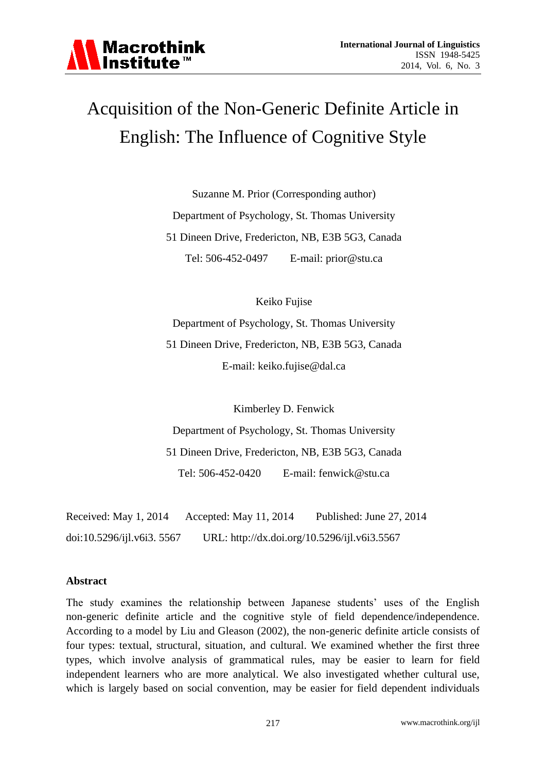

# Acquisition of the Non-Generic Definite Article in English: The Influence of Cognitive Style

Suzanne M. Prior (Corresponding author) Department of Psychology, St. Thomas University 51 Dineen Drive, Fredericton, NB, E3B 5G3, Canada Tel: 506-452-0497 E-mail: [prior@stu.ca](mailto:prior@stu.ca)

Keiko Fujise

Department of Psychology, St. Thomas University 51 Dineen Drive, Fredericton, NB, E3B 5G3, Canada E-mail: [keiko.fujise@dal.ca](mailto:keiko.fujise@dal.ca)

Kimberley D. Fenwick

Department of Psychology, St. Thomas University 51 Dineen Drive, Fredericton, NB, E3B 5G3, Canada Tel: 506-452-0420 E-mail: [fenwick@stu.ca](mailto:fenwick@stu.ca)

Received: May 1, 2014 Accepted: May 11, 2014 Published: June 27, 2014 doi:10.5296/ijl.v6i3. 5567 URL: http://dx.doi.org/10.5296/ijl.v6i3.5567

#### **Abstract**

The study examines the relationship between Japanese students' uses of the English non-generic definite article and the cognitive style of field dependence/independence. According to a model by Liu and Gleason (2002), the non-generic definite article consists of four types: textual, structural, situation, and cultural. We examined whether the first three types, which involve analysis of grammatical rules, may be easier to learn for field independent learners who are more analytical. We also investigated whether cultural use, which is largely based on social convention, may be easier for field dependent individuals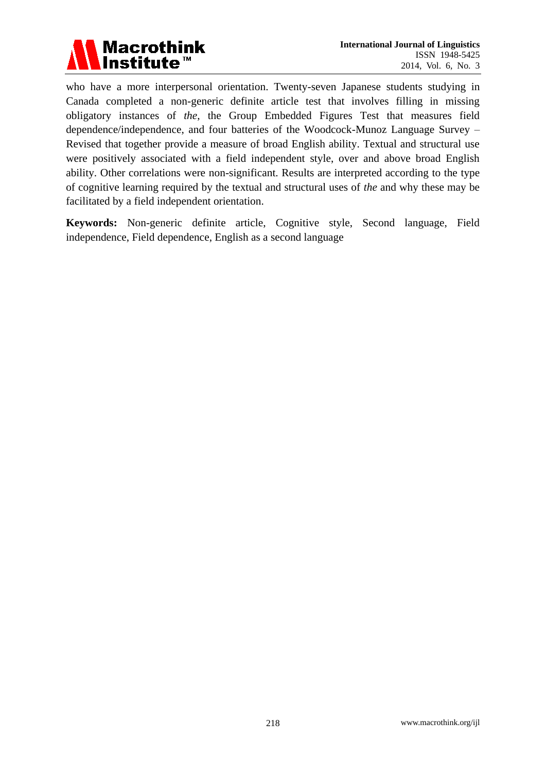

who have a more interpersonal orientation. Twenty-seven Japanese students studying in Canada completed a non-generic definite article test that involves filling in missing obligatory instances of *the*, the Group Embedded Figures Test that measures field dependence/independence, and four batteries of the Woodcock-Munoz Language Survey – Revised that together provide a measure of broad English ability. Textual and structural use were positively associated with a field independent style, over and above broad English ability. Other correlations were non-significant. Results are interpreted according to the type of cognitive learning required by the textual and structural uses of *the* and why these may be facilitated by a field independent orientation.

**Keywords:** Non-generic definite article, Cognitive style, Second language, Field independence, Field dependence, English as a second language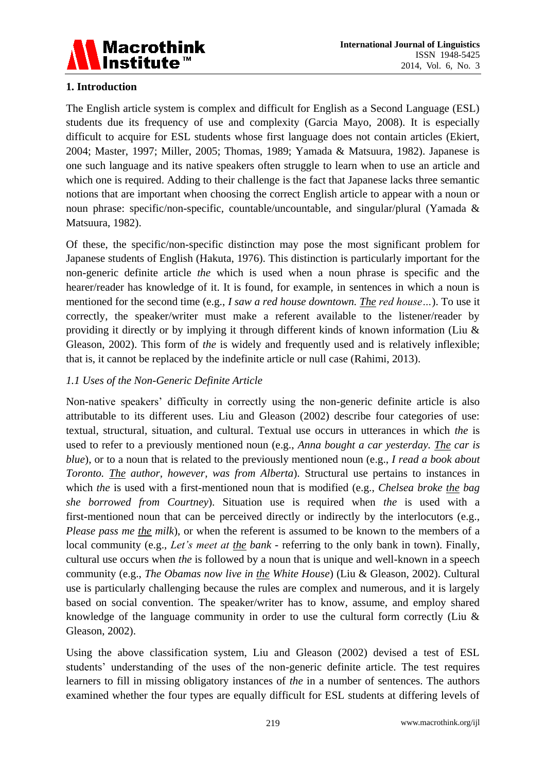

## **1. Introduction**

The English article system is complex and difficult for English as a Second Language (ESL) students due its frequency of use and complexity (Garcia Mayo, 2008). It is especially difficult to acquire for ESL students whose first language does not contain articles (Ekiert, 2004; Master, 1997; Miller, 2005; Thomas, 1989; Yamada & Matsuura, 1982). Japanese is one such language and its native speakers often struggle to learn when to use an article and which one is required. Adding to their challenge is the fact that Japanese lacks three semantic notions that are important when choosing the correct English article to appear with a noun or noun phrase: specific/non-specific, countable/uncountable, and singular/plural (Yamada & Matsuura, 1982).

Of these, the specific/non-specific distinction may pose the most significant problem for Japanese students of English (Hakuta, 1976). This distinction is particularly important for the non-generic definite article *the* which is used when a noun phrase is specific and the hearer/reader has knowledge of it. It is found, for example, in sentences in which a noun is mentioned for the second time (e.g., *I saw a red house downtown. The red house…*). To use it correctly, the speaker/writer must make a referent available to the listener/reader by providing it directly or by implying it through different kinds of known information (Liu & Gleason, 2002). This form of *the* is widely and frequently used and is relatively inflexible; that is, it cannot be replaced by the indefinite article or null case (Rahimi, 2013).

## *1.1 Uses of the Non-Generic Definite Article*

Non-native speakers' difficulty in correctly using the non-generic definite article is also attributable to its different uses. Liu and Gleason (2002) describe four categories of use: textual, structural, situation, and cultural. Textual use occurs in utterances in which *the* is used to refer to a previously mentioned noun (e.g., *Anna bought a car yesterday. The car is blue*), or to a noun that is related to the previously mentioned noun (e.g., *I read a book about Toronto. The author, however, was from Alberta*). Structural use pertains to instances in which *the* is used with a first-mentioned noun that is modified (e.g., *Chelsea broke the bag she borrowed from Courtney*). Situation use is required when *the* is used with a first-mentioned noun that can be perceived directly or indirectly by the interlocutors (e.g., *Please pass me the milk*), or when the referent is assumed to be known to the members of a local community (e.g., *Let's meet at the bank* - referring to the only bank in town). Finally, cultural use occurs when *the* is followed by a noun that is unique and well-known in a speech community (e.g., *The Obamas now live in the White House*) (Liu & Gleason, 2002). Cultural use is particularly challenging because the rules are complex and numerous, and it is largely based on social convention. The speaker/writer has to know, assume, and employ shared knowledge of the language community in order to use the cultural form correctly (Liu & Gleason, 2002).

Using the above classification system, Liu and Gleason (2002) devised a test of ESL students' understanding of the uses of the non-generic definite article. The test requires learners to fill in missing obligatory instances of *the* in a number of sentences. The authors examined whether the four types are equally difficult for ESL students at differing levels of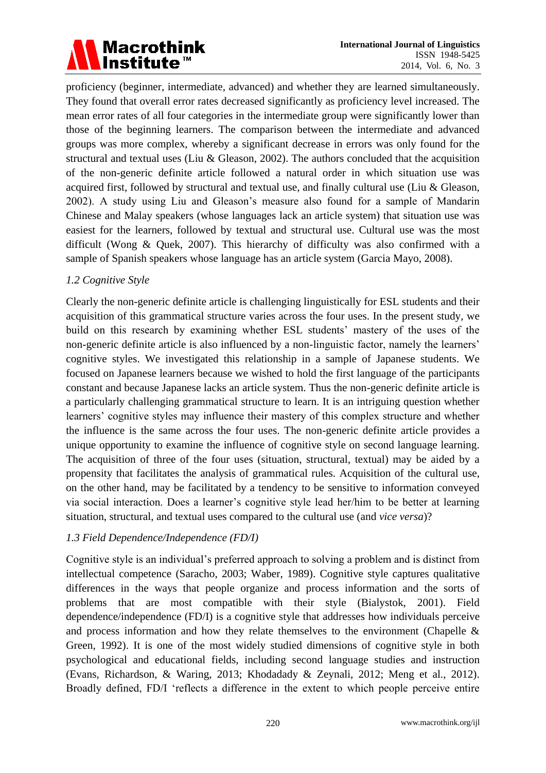# Macrothink<br>Institute™

proficiency (beginner, intermediate, advanced) and whether they are learned simultaneously. They found that overall error rates decreased significantly as proficiency level increased. The mean error rates of all four categories in the intermediate group were significantly lower than those of the beginning learners. The comparison between the intermediate and advanced groups was more complex, whereby a significant decrease in errors was only found for the structural and textual uses (Liu & Gleason, 2002). The authors concluded that the acquisition of the non-generic definite article followed a natural order in which situation use was acquired first, followed by structural and textual use, and finally cultural use (Liu & Gleason, 2002). A study using Liu and Gleason's measure also found for a sample of Mandarin Chinese and Malay speakers (whose languages lack an article system) that situation use was easiest for the learners, followed by textual and structural use. Cultural use was the most difficult (Wong & Quek, 2007). This hierarchy of difficulty was also confirmed with a sample of Spanish speakers whose language has an article system (Garcia Mayo, 2008).

## *1.2 Cognitive Style*

Clearly the non-generic definite article is challenging linguistically for ESL students and their acquisition of this grammatical structure varies across the four uses. In the present study, we build on this research by examining whether ESL students' mastery of the uses of the non-generic definite article is also influenced by a non-linguistic factor, namely the learners' cognitive styles. We investigated this relationship in a sample of Japanese students. We focused on Japanese learners because we wished to hold the first language of the participants constant and because Japanese lacks an article system. Thus the non-generic definite article is a particularly challenging grammatical structure to learn. It is an intriguing question whether learners' cognitive styles may influence their mastery of this complex structure and whether the influence is the same across the four uses. The non-generic definite article provides a unique opportunity to examine the influence of cognitive style on second language learning. The acquisition of three of the four uses (situation, structural, textual) may be aided by a propensity that facilitates the analysis of grammatical rules. Acquisition of the cultural use, on the other hand, may be facilitated by a tendency to be sensitive to information conveyed via social interaction. Does a learner's cognitive style lead her/him to be better at learning situation, structural, and textual uses compared to the cultural use (and *vice versa*)?

#### *1.3 Field Dependence/Independence (FD/I)*

Cognitive style is an individual's preferred approach to solving a problem and is distinct from intellectual competence (Saracho, 2003; Waber, 1989). Cognitive style captures qualitative differences in the ways that people organize and process information and the sorts of problems that are most compatible with their style (Bialystok, 2001). Field dependence/independence (FD/I) is a cognitive style that addresses how individuals perceive and process information and how they relate themselves to the environment (Chapelle & Green, 1992). It is one of the most widely studied dimensions of cognitive style in both psychological and educational fields, including second language studies and instruction (Evans, Richardson, & Waring, 2013; Khodadady & Zeynali, 2012; Meng et al., 2012). Broadly defined, FD/I 'reflects a difference in the extent to which people perceive entire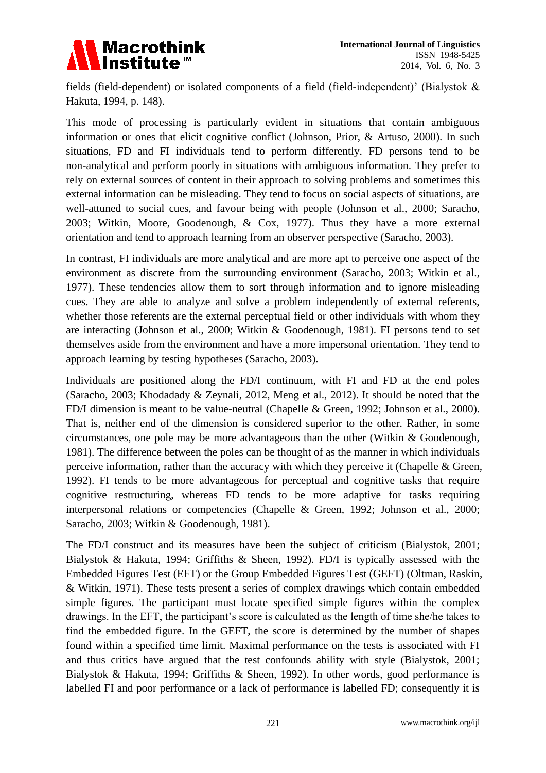

fields (field-dependent) or isolated components of a field (field-independent)' (Bialystok & Hakuta, 1994, p. 148).

This mode of processing is particularly evident in situations that contain ambiguous information or ones that elicit cognitive conflict (Johnson, Prior, & Artuso, 2000). In such situations, FD and FI individuals tend to perform differently. FD persons tend to be non-analytical and perform poorly in situations with ambiguous information. They prefer to rely on external sources of content in their approach to solving problems and sometimes this external information can be misleading. They tend to focus on social aspects of situations, are well-attuned to social cues, and favour being with people (Johnson et al., 2000; Saracho, 2003; Witkin, Moore, Goodenough, & Cox, 1977). Thus they have a more external orientation and tend to approach learning from an observer perspective (Saracho, 2003).

In contrast, FI individuals are more analytical and are more apt to perceive one aspect of the environment as discrete from the surrounding environment (Saracho, 2003; Witkin et al., 1977). These tendencies allow them to sort through information and to ignore misleading cues. They are able to analyze and solve a problem independently of external referents, whether those referents are the external perceptual field or other individuals with whom they are interacting (Johnson et al., 2000; Witkin & Goodenough, 1981). FI persons tend to set themselves aside from the environment and have a more impersonal orientation. They tend to approach learning by testing hypotheses (Saracho, 2003).

Individuals are positioned along the FD/I continuum, with FI and FD at the end poles (Saracho, 2003; Khodadady & Zeynali, 2012, Meng et al., 2012). It should be noted that the FD/I dimension is meant to be value-neutral (Chapelle & Green, 1992; Johnson et al., 2000). That is, neither end of the dimension is considered superior to the other. Rather, in some circumstances, one pole may be more advantageous than the other (Witkin & Goodenough, 1981). The difference between the poles can be thought of as the manner in which individuals perceive information, rather than the accuracy with which they perceive it (Chapelle & Green, 1992). FI tends to be more advantageous for perceptual and cognitive tasks that require cognitive restructuring, whereas FD tends to be more adaptive for tasks requiring interpersonal relations or competencies (Chapelle & Green, 1992; Johnson et al., 2000; Saracho, 2003; Witkin & Goodenough, 1981).

The FD/I construct and its measures have been the subject of criticism (Bialystok, 2001; Bialystok & Hakuta, 1994; Griffiths & Sheen, 1992). FD/I is typically assessed with the Embedded Figures Test (EFT) or the Group Embedded Figures Test (GEFT) (Oltman, Raskin, & Witkin, 1971). These tests present a series of complex drawings which contain embedded simple figures. The participant must locate specified simple figures within the complex drawings. In the EFT, the participant's score is calculated as the length of time she/he takes to find the embedded figure. In the GEFT, the score is determined by the number of shapes found within a specified time limit. Maximal performance on the tests is associated with FI and thus critics have argued that the test confounds ability with style (Bialystok, 2001; Bialystok & Hakuta, 1994; Griffiths & Sheen, 1992). In other words, good performance is labelled FI and poor performance or a lack of performance is labelled FD; consequently it is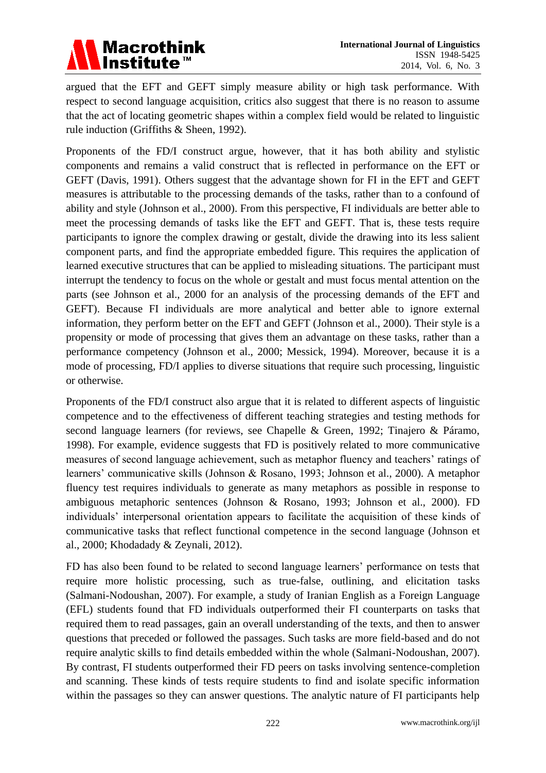

argued that the EFT and GEFT simply measure ability or high task performance. With respect to second language acquisition, critics also suggest that there is no reason to assume that the act of locating geometric shapes within a complex field would be related to linguistic rule induction (Griffiths & Sheen, 1992).

Proponents of the FD/I construct argue, however, that it has both ability and stylistic components and remains a valid construct that is reflected in performance on the EFT or GEFT (Davis, 1991). Others suggest that the advantage shown for FI in the EFT and GEFT measures is attributable to the processing demands of the tasks, rather than to a confound of ability and style (Johnson et al., 2000). From this perspective, FI individuals are better able to meet the processing demands of tasks like the EFT and GEFT. That is, these tests require participants to ignore the complex drawing or gestalt, divide the drawing into its less salient component parts, and find the appropriate embedded figure. This requires the application of learned executive structures that can be applied to misleading situations. The participant must interrupt the tendency to focus on the whole or gestalt and must focus mental attention on the parts (see Johnson et al., 2000 for an analysis of the processing demands of the EFT and GEFT). Because FI individuals are more analytical and better able to ignore external information, they perform better on the EFT and GEFT (Johnson et al., 2000). Their style is a propensity or mode of processing that gives them an advantage on these tasks, rather than a performance competency (Johnson et al., 2000; Messick, 1994). Moreover, because it is a mode of processing, FD/I applies to diverse situations that require such processing, linguistic or otherwise.

Proponents of the FD/I construct also argue that it is related to different aspects of linguistic competence and to the effectiveness of different teaching strategies and testing methods for second language learners (for reviews, see Chapelle & Green, 1992; Tinajero & Páramo, 1998). For example, evidence suggests that FD is positively related to more communicative measures of second language achievement, such as metaphor fluency and teachers' ratings of learners' communicative skills (Johnson & Rosano, 1993; Johnson et al., 2000). A metaphor fluency test requires individuals to generate as many metaphors as possible in response to ambiguous metaphoric sentences (Johnson & Rosano, 1993; Johnson et al., 2000). FD individuals' interpersonal orientation appears to facilitate the acquisition of these kinds of communicative tasks that reflect functional competence in the second language (Johnson et al., 2000; Khodadady & Zeynali, 2012).

FD has also been found to be related to second language learners' performance on tests that require more holistic processing, such as true-false, outlining, and elicitation tasks (Salmani-Nodoushan, 2007). For example, a study of Iranian English as a Foreign Language (EFL) students found that FD individuals outperformed their FI counterparts on tasks that required them to read passages, gain an overall understanding of the texts, and then to answer questions that preceded or followed the passages. Such tasks are more field-based and do not require analytic skills to find details embedded within the whole (Salmani-Nodoushan, 2007). By contrast, FI students outperformed their FD peers on tasks involving sentence-completion and scanning. These kinds of tests require students to find and isolate specific information within the passages so they can answer questions. The analytic nature of FI participants help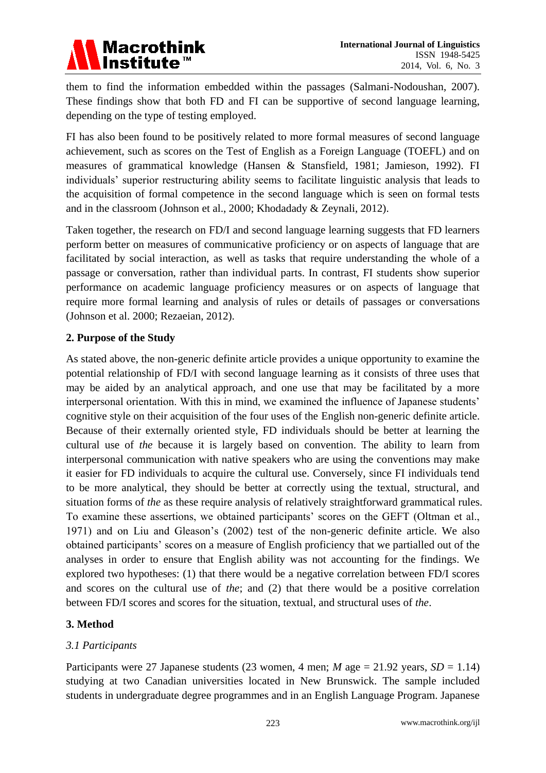

them to find the information embedded within the passages (Salmani-Nodoushan, 2007). These findings show that both FD and FI can be supportive of second language learning, depending on the type of testing employed.

FI has also been found to be positively related to more formal measures of second language achievement, such as scores on the Test of English as a Foreign Language (TOEFL) and on measures of grammatical knowledge (Hansen & Stansfield, 1981; Jamieson, 1992). FI individuals' superior restructuring ability seems to facilitate linguistic analysis that leads to the acquisition of formal competence in the second language which is seen on formal tests and in the classroom (Johnson et al., 2000; Khodadady & Zeynali, 2012).

Taken together, the research on FD/I and second language learning suggests that FD learners perform better on measures of communicative proficiency or on aspects of language that are facilitated by social interaction, as well as tasks that require understanding the whole of a passage or conversation, rather than individual parts. In contrast, FI students show superior performance on academic language proficiency measures or on aspects of language that require more formal learning and analysis of rules or details of passages or conversations (Johnson et al. 2000; Rezaeian, 2012).

#### **2. Purpose of the Study**

As stated above, the non-generic definite article provides a unique opportunity to examine the potential relationship of FD/I with second language learning as it consists of three uses that may be aided by an analytical approach, and one use that may be facilitated by a more interpersonal orientation. With this in mind, we examined the influence of Japanese students' cognitive style on their acquisition of the four uses of the English non-generic definite article. Because of their externally oriented style, FD individuals should be better at learning the cultural use of *the* because it is largely based on convention. The ability to learn from interpersonal communication with native speakers who are using the conventions may make it easier for FD individuals to acquire the cultural use. Conversely, since FI individuals tend to be more analytical, they should be better at correctly using the textual, structural, and situation forms of *the* as these require analysis of relatively straightforward grammatical rules. To examine these assertions, we obtained participants' scores on the GEFT (Oltman et al., 1971) and on Liu and Gleason's (2002) test of the non-generic definite article. We also obtained participants' scores on a measure of English proficiency that we partialled out of the analyses in order to ensure that English ability was not accounting for the findings. We explored two hypotheses: (1) that there would be a negative correlation between FD/I scores and scores on the cultural use of *the*; and (2) that there would be a positive correlation between FD/I scores and scores for the situation, textual, and structural uses of *the*.

#### **3. Method**

#### *3.1 Participants*

Participants were 27 Japanese students (23 women, 4 men; *M* age = 21.92 years,  $SD = 1.14$ ) studying at two Canadian universities located in New Brunswick. The sample included students in undergraduate degree programmes and in an English Language Program. Japanese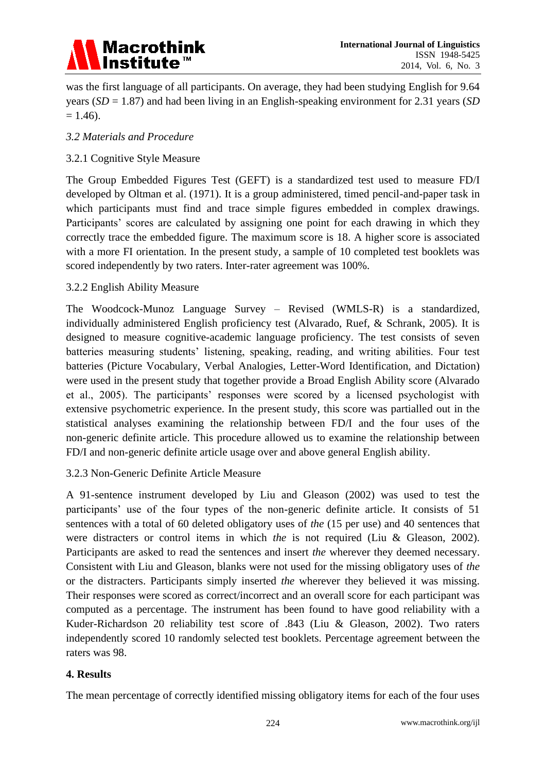

was the first language of all participants. On average, they had been studying English for 9.64 years (*SD* = 1.87) and had been living in an English-speaking environment for 2.31 years (*SD*  $= 1.46$ ).

#### *3.2 Materials and Procedure*

#### 3.2.1 Cognitive Style Measure

The Group Embedded Figures Test (GEFT) is a standardized test used to measure FD/I developed by Oltman et al. (1971). It is a group administered, timed pencil-and-paper task in which participants must find and trace simple figures embedded in complex drawings. Participants' scores are calculated by assigning one point for each drawing in which they correctly trace the embedded figure. The maximum score is 18. A higher score is associated with a more FI orientation. In the present study, a sample of 10 completed test booklets was scored independently by two raters. Inter-rater agreement was 100%.

#### 3.2.2 English Ability Measure

The Woodcock-Munoz Language Survey – Revised (WMLS-R) is a standardized, individually administered English proficiency test (Alvarado, Ruef, & Schrank, 2005). It is designed to measure cognitive-academic language proficiency. The test consists of seven batteries measuring students' listening, speaking, reading, and writing abilities. Four test batteries (Picture Vocabulary, Verbal Analogies, Letter-Word Identification, and Dictation) were used in the present study that together provide a Broad English Ability score (Alvarado et al., 2005). The participants' responses were scored by a licensed psychologist with extensive psychometric experience. In the present study, this score was partialled out in the statistical analyses examining the relationship between FD/I and the four uses of the non-generic definite article. This procedure allowed us to examine the relationship between FD/I and non-generic definite article usage over and above general English ability.

#### 3.2.3 Non-Generic Definite Article Measure

A 91-sentence instrument developed by Liu and Gleason (2002) was used to test the participants' use of the four types of the non-generic definite article. It consists of 51 sentences with a total of 60 deleted obligatory uses of *the* (15 per use) and 40 sentences that were distracters or control items in which *the* is not required (Liu & Gleason, 2002). Participants are asked to read the sentences and insert *the* wherever they deemed necessary. Consistent with Liu and Gleason, blanks were not used for the missing obligatory uses of *the* or the distracters. Participants simply inserted *the* wherever they believed it was missing. Their responses were scored as correct/incorrect and an overall score for each participant was computed as a percentage. The instrument has been found to have good reliability with a Kuder-Richardson 20 reliability test score of .843 (Liu & Gleason, 2002). Two raters independently scored 10 randomly selected test booklets. Percentage agreement between the raters was 98.

#### **4. Results**

The mean percentage of correctly identified missing obligatory items for each of the four uses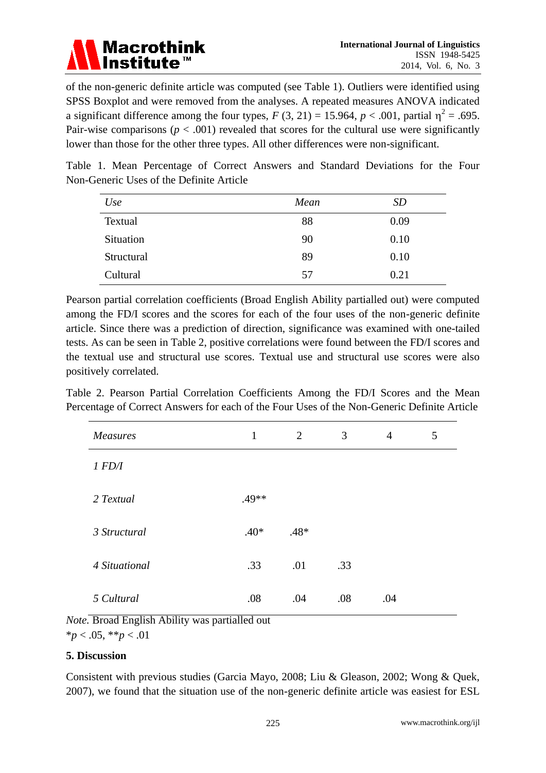

of the non-generic definite article was computed (see Table 1). Outliers were identified using SPSS Boxplot and were removed from the analyses. A repeated measures ANOVA indicated a significant difference among the four types,  $F(3, 21) = 15.964$ ,  $p < .001$ , partial  $\eta^2 = .695$ . Pair-wise comparisons ( $p < .001$ ) revealed that scores for the cultural use were significantly lower than those for the other three types. All other differences were non-significant.

Table 1. Mean Percentage of Correct Answers and Standard Deviations for the Four Non-Generic Uses of the Definite Article

| Use        | Mean | SD   |
|------------|------|------|
| Textual    | 88   | 0.09 |
| Situation  | 90   | 0.10 |
| Structural | 89   | 0.10 |
| Cultural   | 57   | 0.21 |

Pearson partial correlation coefficients (Broad English Ability partialled out) were computed among the FD/I scores and the scores for each of the four uses of the non-generic definite article. Since there was a prediction of direction, significance was examined with one-tailed tests. As can be seen in Table 2, positive correlations were found between the FD/I scores and the textual use and structural use scores. Textual use and structural use scores were also positively correlated.

Table 2. Pearson Partial Correlation Coefficients Among the FD/I Scores and the Mean Percentage of Correct Answers for each of the Four Uses of the Non-Generic Definite Article

| <b>Measures</b> | $\mathbf{1}$ | 2    | 3   | $\overline{4}$ | 5 |
|-----------------|--------------|------|-----|----------------|---|
| 1 FDA           |              |      |     |                |   |
| 2 Textual       | $.49**$      |      |     |                |   |
| 3 Structural    | $.40*$       | .48* |     |                |   |
| 4 Situational   | .33          | .01  | .33 |                |   |
| 5 Cultural      | .08          | .04  | .08 | .04            |   |

*Note.* Broad English Ability was partialled out \**p* < .05, \*\**p* < .01

#### **5. Discussion**

Consistent with previous studies (Garcia Mayo, 2008; Liu & Gleason, 2002; Wong & Quek, 2007), we found that the situation use of the non-generic definite article was easiest for ESL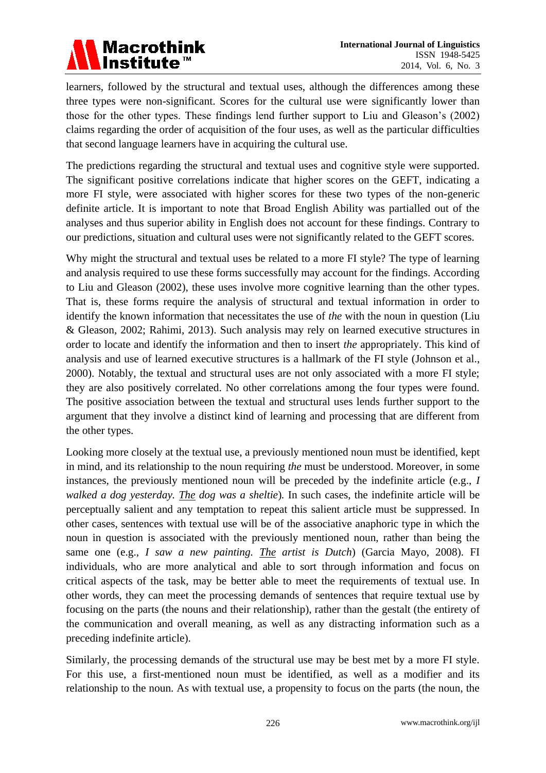

learners, followed by the structural and textual uses, although the differences among these three types were non-significant. Scores for the cultural use were significantly lower than those for the other types. These findings lend further support to Liu and Gleason's (2002) claims regarding the order of acquisition of the four uses, as well as the particular difficulties that second language learners have in acquiring the cultural use.

The predictions regarding the structural and textual uses and cognitive style were supported. The significant positive correlations indicate that higher scores on the GEFT, indicating a more FI style, were associated with higher scores for these two types of the non-generic definite article. It is important to note that Broad English Ability was partialled out of the analyses and thus superior ability in English does not account for these findings. Contrary to our predictions, situation and cultural uses were not significantly related to the GEFT scores.

Why might the structural and textual uses be related to a more FI style? The type of learning and analysis required to use these forms successfully may account for the findings. According to Liu and Gleason (2002), these uses involve more cognitive learning than the other types. That is, these forms require the analysis of structural and textual information in order to identify the known information that necessitates the use of *the* with the noun in question (Liu & Gleason, 2002; Rahimi, 2013). Such analysis may rely on learned executive structures in order to locate and identify the information and then to insert *the* appropriately. This kind of analysis and use of learned executive structures is a hallmark of the FI style (Johnson et al., 2000). Notably, the textual and structural uses are not only associated with a more FI style; they are also positively correlated. No other correlations among the four types were found. The positive association between the textual and structural uses lends further support to the argument that they involve a distinct kind of learning and processing that are different from the other types.

Looking more closely at the textual use, a previously mentioned noun must be identified, kept in mind, and its relationship to the noun requiring *the* must be understood. Moreover, in some instances, the previously mentioned noun will be preceded by the indefinite article (e.g., *I walked a dog yesterday. The dog was a sheltie*)*.* In such cases, the indefinite article will be perceptually salient and any temptation to repeat this salient article must be suppressed. In other cases, sentences with textual use will be of the associative anaphoric type in which the noun in question is associated with the previously mentioned noun, rather than being the same one (e.g., *I saw a new painting. The artist is Dutch*) (Garcia Mayo, 2008). FI individuals, who are more analytical and able to sort through information and focus on critical aspects of the task, may be better able to meet the requirements of textual use. In other words, they can meet the processing demands of sentences that require textual use by focusing on the parts (the nouns and their relationship), rather than the gestalt (the entirety of the communication and overall meaning, as well as any distracting information such as a preceding indefinite article).

Similarly, the processing demands of the structural use may be best met by a more FI style. For this use, a first-mentioned noun must be identified, as well as a modifier and its relationship to the noun. As with textual use, a propensity to focus on the parts (the noun, the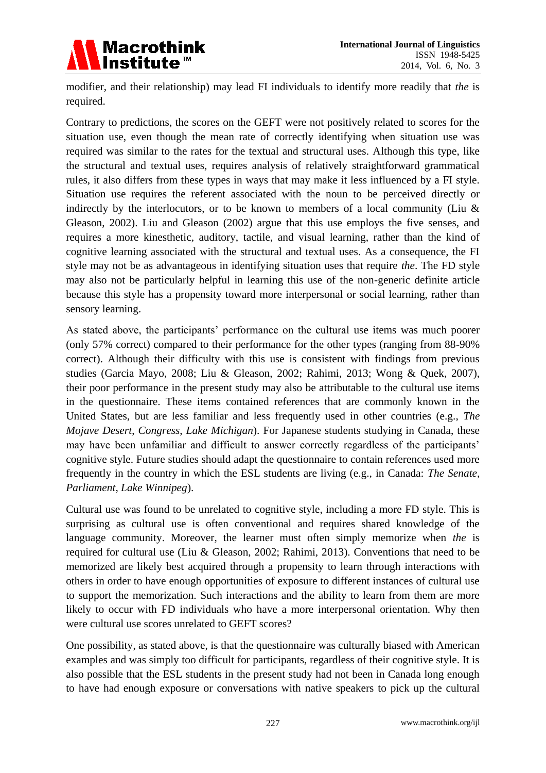

modifier, and their relationship) may lead FI individuals to identify more readily that *the* is required.

Contrary to predictions, the scores on the GEFT were not positively related to scores for the situation use, even though the mean rate of correctly identifying when situation use was required was similar to the rates for the textual and structural uses. Although this type, like the structural and textual uses, requires analysis of relatively straightforward grammatical rules, it also differs from these types in ways that may make it less influenced by a FI style. Situation use requires the referent associated with the noun to be perceived directly or indirectly by the interlocutors, or to be known to members of a local community (Liu  $\&$ Gleason, 2002). Liu and Gleason (2002) argue that this use employs the five senses, and requires a more kinesthetic, auditory, tactile, and visual learning, rather than the kind of cognitive learning associated with the structural and textual uses. As a consequence, the FI style may not be as advantageous in identifying situation uses that require *the*. The FD style may also not be particularly helpful in learning this use of the non-generic definite article because this style has a propensity toward more interpersonal or social learning, rather than sensory learning.

As stated above, the participants' performance on the cultural use items was much poorer (only 57% correct) compared to their performance for the other types (ranging from 88-90% correct). Although their difficulty with this use is consistent with findings from previous studies (Garcia Mayo, 2008; Liu & Gleason, 2002; Rahimi, 2013; Wong & Quek, 2007), their poor performance in the present study may also be attributable to the cultural use items in the questionnaire. These items contained references that are commonly known in the United States, but are less familiar and less frequently used in other countries (e.g., *The Mojave Desert*, *Congress*, *Lake Michigan*). For Japanese students studying in Canada, these may have been unfamiliar and difficult to answer correctly regardless of the participants' cognitive style. Future studies should adapt the questionnaire to contain references used more frequently in the country in which the ESL students are living (e.g., in Canada: *The Senate, Parliament, Lake Winnipeg*).

Cultural use was found to be unrelated to cognitive style, including a more FD style. This is surprising as cultural use is often conventional and requires shared knowledge of the language community. Moreover, the learner must often simply memorize when *the* is required for cultural use (Liu & Gleason, 2002; Rahimi, 2013). Conventions that need to be memorized are likely best acquired through a propensity to learn through interactions with others in order to have enough opportunities of exposure to different instances of cultural use to support the memorization. Such interactions and the ability to learn from them are more likely to occur with FD individuals who have a more interpersonal orientation. Why then were cultural use scores unrelated to GEFT scores?

One possibility, as stated above, is that the questionnaire was culturally biased with American examples and was simply too difficult for participants, regardless of their cognitive style. It is also possible that the ESL students in the present study had not been in Canada long enough to have had enough exposure or conversations with native speakers to pick up the cultural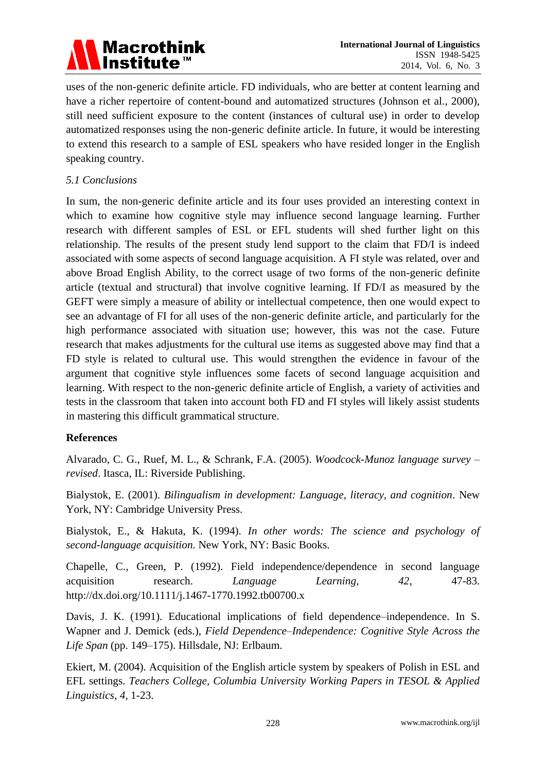# **Macrothink**

uses of the non-generic definite article. FD individuals, who are better at content learning and have a richer repertoire of content-bound and automatized structures (Johnson et al., 2000), still need sufficient exposure to the content (instances of cultural use) in order to develop automatized responses using the non-generic definite article. In future, it would be interesting to extend this research to a sample of ESL speakers who have resided longer in the English speaking country.

#### *5.1 Conclusions*

In sum, the non-generic definite article and its four uses provided an interesting context in which to examine how cognitive style may influence second language learning. Further research with different samples of ESL or EFL students will shed further light on this relationship. The results of the present study lend support to the claim that FD/I is indeed associated with some aspects of second language acquisition. A FI style was related, over and above Broad English Ability, to the correct usage of two forms of the non-generic definite article (textual and structural) that involve cognitive learning. If FD/I as measured by the GEFT were simply a measure of ability or intellectual competence, then one would expect to see an advantage of FI for all uses of the non-generic definite article, and particularly for the high performance associated with situation use; however, this was not the case. Future research that makes adjustments for the cultural use items as suggested above may find that a FD style is related to cultural use. This would strengthen the evidence in favour of the argument that cognitive style influences some facets of second language acquisition and learning. With respect to the non-generic definite article of English, a variety of activities and tests in the classroom that taken into account both FD and FI styles will likely assist students in mastering this difficult grammatical structure.

#### **References**

Alvarado, C. G., Ruef, M. L., & Schrank, F.A. (2005). *Woodcock-Munoz language survey – revised*. Itasca, IL: Riverside Publishing.

Bialystok, E. (2001). *Bilingualism in development: Language, literacy, and cognition*. New York, NY: Cambridge University Press.

Bialystok, E., & Hakuta, K. (1994). *In other words: The science and psychology of second-language acquisition.* New York, NY: Basic Books.

Chapelle, C., Green, P. (1992). Field independence/dependence in second language acquisition research. *Language Learning, 42*, 47-83. http://dx.doi.org/10.1111/j.1467-1770.1992.tb00700.x

Davis, J. K. (1991). Educational implications of field dependence–independence. In S. Wapner and J. Demick (eds.), *Field Dependence–Independence: Cognitive Style Across the Life Span* (pp. 149–175). Hillsdale, NJ: Erlbaum.

Ekiert, M. (2004). Acquisition of the English article system by speakers of Polish in ESL and EFL settings. *Teachers College, Columbia University Working Papers in TESOL & Applied Linguistics*, *4*, 1-23.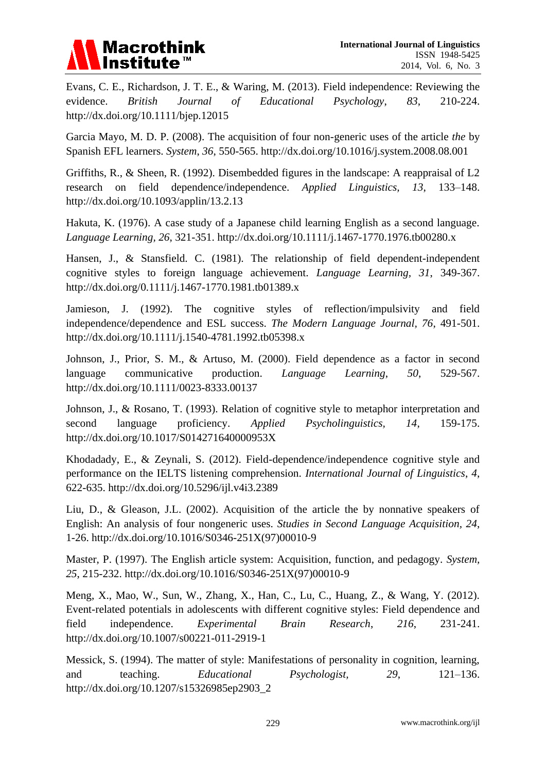

Evans, C. E., Richardson, J. T. E., & Waring, M. (2013). Field independence: Reviewing the evidence. *British Journal of Educational Psychology*, *83*, 210-224. http://dx.doi.org/10.1111/bjep.12015

Garcia Mayo, M. D. P. (2008). The acquisition of four non-generic uses of the article *the* by Spanish EFL learners. *System*, *36*, 550-565. http://dx.doi.org/10.1016/j.system.2008.08.001

Griffiths, R., & Sheen, R. (1992). Disembedded figures in the landscape: A reappraisal of L2 research on field dependence/independence. *Applied Linguistics, 13*, 133–148. http://dx.doi.org/10.1093/applin/13.2.13

Hakuta, K. (1976). A case study of a Japanese child learning English as a second language. *Language Learning, 26*, 321-351. http://dx.doi.org/10.1111/j.1467-1770.1976.tb00280.x

Hansen, J., & Stansfield. C. (1981). The relationship of field dependent-independent cognitive styles to foreign language achievement. *Language Learning, 31*, 349-367. http://dx.doi.org/0.1111/j.1467-1770.1981.tb01389.x

Jamieson, J. (1992). The cognitive styles of reflection/impulsivity and field independence/dependence and ESL success. *The Modern Language Journal, 76*, 491-501. http://dx.doi.org/10.1111/j.1540-4781.1992.tb05398.x

Johnson, J., Prior, S. M., & Artuso, M. (2000). Field dependence as a factor in second language communicative production. *Language Learning*, *50*, 529-567. http://dx.doi.org/10.1111/0023-8333.00137

Johnson, J., & Rosano, T. (1993). Relation of cognitive style to metaphor interpretation and second language proficiency. *Applied Psycholinguistics, 14*, 159-175. http://dx.doi.org/10.1017/S014271640000953X

Khodadady, E., & Zeynali, S. (2012). Field-dependence/independence cognitive style and performance on the IELTS listening comprehension. *International Journal of Linguistics*, *4*, 622-635. http://dx.doi.org[/10.5296/ijl.v4i3.2389](http://dx.doi.org/10.5296/ijl.v4i3.2389)

Liu, D., & Gleason, J.L. (2002). Acquisition of the article the by nonnative speakers of English: An analysis of four nongeneric uses. *Studies in Second Language Acquisition, 24*, 1-26. http://dx.doi.org[/10.1016/S0346-251X\(97\)00010-9](http://dx.doi.org/10.1016/S0346-251X(97)00010-9)

Master, P. (1997). The English article system: Acquisition, function, and pedagogy. *System, 25*, 215-232. http://dx.doi.org/10.1016/S0346-251X(97)00010-9

Meng, X., Mao, W., Sun, W., Zhang, X., Han, C., Lu, C., Huang, Z., & Wang, Y. (2012). Event-related potentials in adolescents with different cognitive styles: Field dependence and field independence. *Experimental Brain Research*, *216*, 231-241. http://dx.doi.org/10.1007/s00221-011-2919-1

Messick, S. (1994). The matter of style: Manifestations of personality in cognition, learning, and teaching. *Educational Psychologist, 29*, 121–136. http://dx.doi.org/10.1207/s15326985ep2903\_2